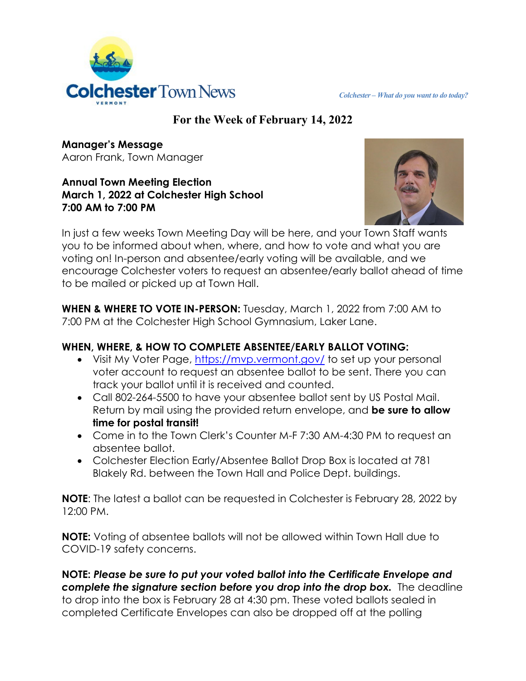

# **For the Week of February 14, 2022**

**Manager's Message** Aaron Frank, Town Manager

#### **Annual Town Meeting Election March 1, 2022 at Colchester High School 7:00 AM to 7:00 PM**



In just a few weeks Town Meeting Day will be here, and your Town Staff wants you to be informed about when, where, and how to vote and what you are voting on! In-person and absentee/early voting will be available, and we encourage Colchester voters to request an absentee/early ballot ahead of time to be mailed or picked up at Town Hall.

**WHEN & WHERE TO VOTE IN-PERSON:** Tuesday, March 1, 2022 from 7:00 AM to 7:00 PM at the Colchester High School Gymnasium, Laker Lane.

# **WHEN, WHERE, & HOW TO COMPLETE ABSENTEE/EARLY BALLOT VOTING:**

- Visit My Voter Page,<https://mvp.vermont.gov/> to set up your personal voter account to request an absentee ballot to be sent. There you can track your ballot until it is received and counted.
- Call 802-264-5500 to have your absentee ballot sent by US Postal Mail. Return by mail using the provided return envelope, and **be sure to allow time for postal transit!**
- Come in to the Town Clerk's Counter M-F 7:30 AM-4:30 PM to request an absentee ballot.
- Colchester Election Early/Absentee Ballot Drop Box is located at 781 Blakely Rd. between the Town Hall and Police Dept. buildings.

**NOTE**: The latest a ballot can be requested in Colchester is February 28, 2022 by 12:00 PM.

**NOTE:** Voting of absentee ballots will not be allowed within Town Hall due to COVID-19 safety concerns.

**NOTE:** *Please be sure to put your voted ballot into the Certificate Envelope and complete the signature section before you drop into the drop box.* The deadline to drop into the box is February 28 at 4:30 pm. These voted ballots sealed in completed Certificate Envelopes can also be dropped off at the polling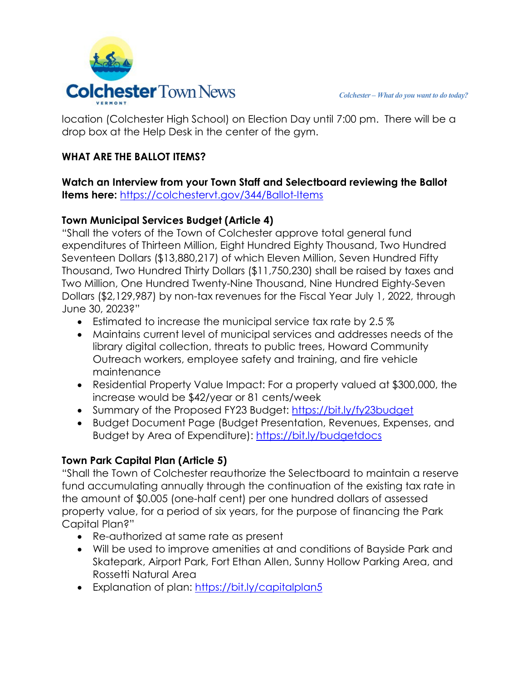

location (Colchester High School) on Election Day until 7:00 pm. There will be a drop box at the Help Desk in the center of the gym.

#### **WHAT ARE THE BALLOT ITEMS?**

**Watch an Interview from your Town Staff and Selectboard reviewing the Ballot Items here:** <https://colchestervt.gov/344/Ballot-Items>

## **Town Municipal Services Budget (Article 4)**

"Shall the voters of the Town of Colchester approve total general fund expenditures of Thirteen Million, Eight Hundred Eighty Thousand, Two Hundred Seventeen Dollars (\$13,880,217) of which Eleven Million, Seven Hundred Fifty Thousand, Two Hundred Thirty Dollars (\$11,750,230) shall be raised by taxes and Two Million, One Hundred Twenty-Nine Thousand, Nine Hundred Eighty-Seven Dollars (\$2,129,987) by non-tax revenues for the Fiscal Year July 1, 2022, through June 30, 2023?"

- Estimated to increase the municipal service tax rate by 2.5 %
- Maintains current level of municipal services and addresses needs of the library digital collection, threats to public trees, Howard Community Outreach workers, employee safety and training, and fire vehicle maintenance
- Residential Property Value Impact: For a property valued at \$300,000, the increase would be \$42/year or 81 cents/week
- Summary of the Proposed FY23 Budget:<https://bit.ly/fy23budget>
- Budget Document Page (Budget Presentation, Revenues, Expenses, and Budget by Area of Expenditure):<https://bit.ly/budgetdocs>

## **Town Park Capital Plan (Article 5)**

"Shall the Town of Colchester reauthorize the Selectboard to maintain a reserve fund accumulating annually through the continuation of the existing tax rate in the amount of \$0.005 (one-half cent) per one hundred dollars of assessed property value, for a period of six years, for the purpose of financing the Park Capital Plan?"

- Re-authorized at same rate as present
- Will be used to improve amenities at and conditions of Bayside Park and Skatepark, Airport Park, Fort Ethan Allen, Sunny Hollow Parking Area, and Rossetti Natural Area
- Explanation of plan:<https://bit.ly/capitalplan5>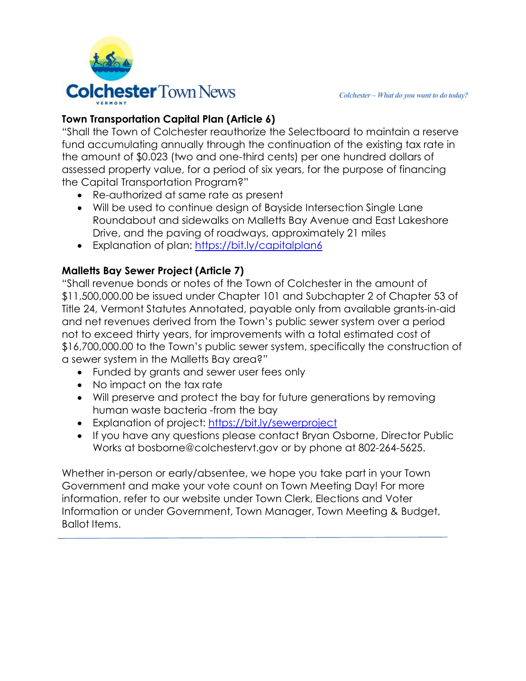# **Town Transportation Capital Plan (Article 6)**

"Shall the Town of Colchester reauthorize the Selectboard to maintain a reserve fund accumulating annually through the continuation of the existing tax rate in the amount of \$0.023 (two and one-third cents) per one hundred dollars of assessed property value, for a period of six years, for the purpose of financing the Capital Transportation Program?"

- Re-authorized at same rate as present
- Will be used to continue design of Bayside Intersection Single Lane Roundabout and sidewalks on Malletts Bay Avenue and East Lakeshore Drive, and the paving of roadways, approximately 21 miles
- Explanation of plan:<https://bit.ly/capitalplan6>

## **Malletts Bay Sewer Project (Article 7)**

"Shall revenue bonds or notes of the Town of Colchester in the amount of \$11,500,000.00 be issued under Chapter 101 and Subchapter 2 of Chapter 53 of Title 24, Vermont Statutes Annotated, payable only from available grants-in-aid and net revenues derived from the Town's public sewer system over a period not to exceed thirty years, for improvements with a total estimated cost of \$16,700,000.00 to the Town's public sewer system, specifically the construction of a sewer system in the Malletts Bay area?"

- Funded by grants and sewer user fees only
- No impact on the tax rate
- Will preserve and protect the bay for future generations by removing human waste bacteria -from the bay
- Explanation of project:<https://bit.ly/sewerproject>
- If you have any questions please contact Bryan Osborne, Director Public Works at bosborne@colchestervt.gov or by phone at 802-264-5625.

Whether in-person or early/absentee, we hope you take part in your Town Government and make your vote count on Town Meeting Day! For more information, refer to our website under Town Clerk, Elections and Voter Information or under Government, Town Manager, Town Meeting & Budget, Ballot Items.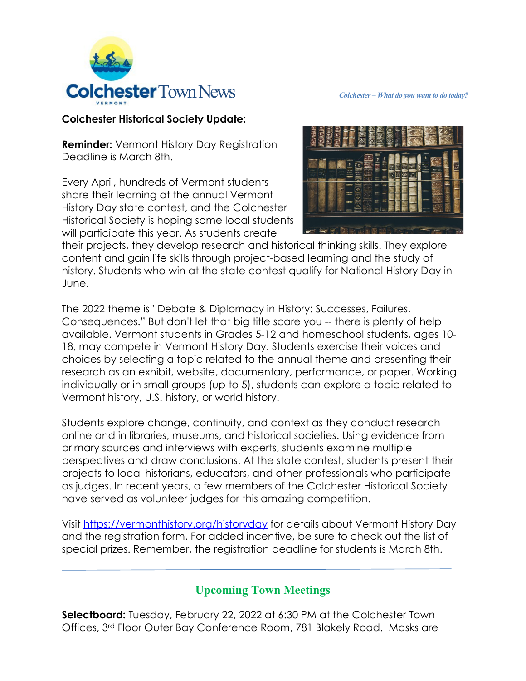

#### **Colchester Historical Society Update:**

**Reminder:** Vermont History Day Registration Deadline is March 8th.

Every April, hundreds of Vermont students share their learning at the annual Vermont History Day state contest, and the Colchester Historical Society is hoping some local students will participate this year. As students create



their projects, they develop research and historical thinking skills. They explore content and gain life skills through project-based learning and the study of history. Students who win at the state contest qualify for National History Day in June.

The 2022 theme is" Debate & Diplomacy in History: Successes, Failures, Consequences." But don't let that big title scare you -- there is plenty of help available. Vermont students in Grades 5-12 and homeschool students, ages 10- 18, may compete in Vermont History Day. Students exercise their voices and choices by selecting a topic related to the annual theme and presenting their research as an exhibit, website, documentary, performance, or paper. Working individually or in small groups (up to 5), students can explore a topic related to Vermont history, U.S. history, or world history.

Students explore change, continuity, and context as they conduct research online and in libraries, museums, and historical societies. Using evidence from primary sources and interviews with experts, students examine multiple perspectives and draw conclusions. At the state contest, students present their projects to local historians, educators, and other professionals who participate as judges. In recent years, a few members of the Colchester Historical Society have served as volunteer judges for this amazing competition.

Visit [https://vermonthistory.org/historyday](https://l.facebook.com/l.php?u=https%3A%2F%2Fvermonthistory.org%2Fhistoryday%3Ffbclid%3DIwAR3jF0v7v-LMSpKP9UsWxHu9PXQLe2r5eXXzuxD-NtKlYmLrN67F9jmq3EM&h=AT2HFFb9axnMCDLjTZr606KR4RdmT_jDntq3f0GCJmuFLvtmxKQRcK9cXZdghJmVj2UYGdDpGhQoP4ygo1xN6RM00fnjjXY4acCmelOt9NNyvjo7sm3QCiVdKdTpW6cEOMumtDP5AUgZpDHUeQ&__tn__=-UK-R&c%5b0%5d=AT2Mfjmx6rPiizNrohhMr2IqleVm3yOMgyIMOI33FRaxmCeq2nBAHX5PR3A20SisquyxyqCKiRIGyuPFkkR4AVvAxn74o6eyXY6fzoHhfN6ju3BVsLJG3Uq55OMhWAThDdF3dEeJVv4gOirR-4dYnHSlulnz9RM6hZTiXFU4dzYEnuGfCb2_JAkd_MBl67apT7B2jSc) for details about Vermont History Day and the registration form. For added incentive, be sure to check out the list of special prizes. Remember, the registration deadline for students is March 8th.

# **Upcoming Town Meetings**

**Selectboard:** Tuesday, February 22, 2022 at 6:30 PM at the Colchester Town Offices, 3rd Floor Outer Bay Conference Room, 781 Blakely Road. Masks are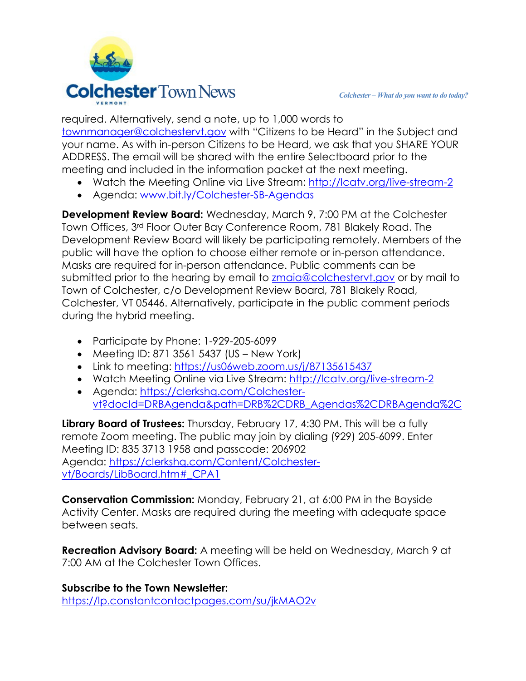required. Alternatively, send a note, up to 1,000 words to [townmanager@colchestervt.gov](mailto:townmanager@colchestervt.gov) with "Citizens to be Heard" in the Subject and your name. As with in-person Citizens to be Heard, we ask that you SHARE YOUR ADDRESS. The email will be shared with the entire Selectboard prior to the meeting and included in the information packet at the next meeting.

- Watch the Meeting Online via Live Stream:<http://lcatv.org/live-stream-2>
- Agenda: [www.bit.ly/Colchester-SB-Agendas](http://www.bit.ly/Colchester-SB-Agendas)

**Development Review Board:** Wednesday, March 9, 7:00 PM at the Colchester Town Offices, 3rd Floor Outer Bay Conference Room, 781 Blakely Road. The Development Review Board will likely be participating remotely. Members of the public will have the option to choose either remote or in-person attendance. Masks are required for in-person attendance. Public comments can be submitted prior to the hearing by email to [zmaia@colchestervt.gov](mailto:zmaia@colchestervt.gov) or by mail to Town of Colchester, c/o Development Review Board, 781 Blakely Road, Colchester, VT 05446. Alternatively, participate in the public comment periods during the hybrid meeting.

- Participate by Phone: 1-929-205-6099
- Meeting ID: 871 3561 5437 (US New York)
- Link to meeting: https://us06web.zoom.us/i/87135615437
- Watch Meeting Online via Live Stream: [http://lcatv.org/live-stream-2](https://r20.rs6.net/tn.jsp?f=001XbSGd8nVT6SAu_SJpaR1QZk-8V24b9BP3cfY3V8W0JmbsDf_YLlrsT2992lf25PlqxP0EPnw2hzwTvACz9Qo5Ji-nd1cZir-BmYJEPxS7Yq-wcDxUWCu96sMti7jiPSpL9Qkya0rAeBTHYx45G9Dhw==&c=&ch=)
- Agenda: [https://clerkshq.com/Colchester](https://clerkshq.com/Colchester-vt?docId=DRBAgenda&path=DRB%2CDRB_Agendas%2CDRBAgenda%2C)[vt?docId=DRBAgenda&path=DRB%2CDRB\\_Agendas%2CDRBAgenda%2C](https://clerkshq.com/Colchester-vt?docId=DRBAgenda&path=DRB%2CDRB_Agendas%2CDRBAgenda%2C)

**Library Board of Trustees:** Thursday, February 17, 4:30 PM. This will be a fully remote Zoom meeting. The public may join by dialing (929) 205-6099. Enter Meeting ID: 835 3713 1958 and passcode: 206902 Agenda: [https://clerkshq.com/Content/Colchester](https://clerkshq.com/Content/Colchester-vt/Boards/LibBoard.htm#_CPA1)[vt/Boards/LibBoard.htm#\\_CPA1](https://clerkshq.com/Content/Colchester-vt/Boards/LibBoard.htm#_CPA1)

**Conservation Commission:** Monday, February 21, at 6:00 PM in the Bayside Activity Center. Masks are required during the meeting with adequate space between seats.

**Recreation Advisory Board:** A meeting will be held on Wednesday, March 9 at 7:00 AM at the Colchester Town Offices.

**Subscribe to the Town Newsletter:** <https://lp.constantcontactpages.com/su/jkMAO2v>